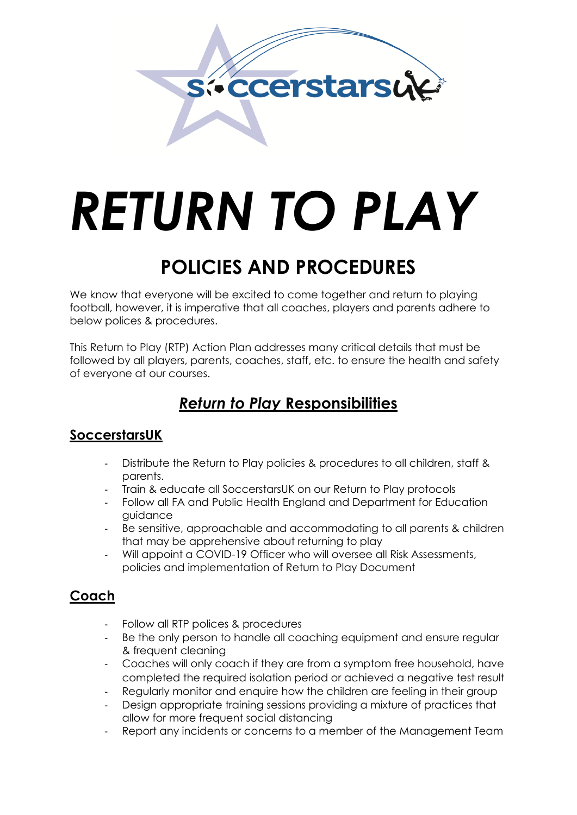

# *RETURN TO PLAY*

## **POLICIES AND PROCEDURES**

We know that everyone will be excited to come together and return to playing football, however, it is imperative that all coaches, players and parents adhere to below polices & procedures.

This Return to Play (RTP) Action Plan addresses many critical details that must be followed by all players, parents, coaches, staff, etc. to ensure the health and safety of everyone at our courses.

## *Return to Play* **Responsibilities**

## **SoccerstarsUK**

- Distribute the Return to Play policies & procedures to all children, staff & parents.
- Train & educate all SoccerstarsUK on our Return to Play protocols
- Follow all FA and Public Health England and Department for Education guidance
- Be sensitive, approachable and accommodating to all parents & children that may be apprehensive about returning to play
- Will appoint a COVID-19 Officer who will oversee all Risk Assessments, policies and implementation of Return to Play Document

## **Coach**

- Follow all RTP polices & procedures
- Be the only person to handle all coaching equipment and ensure regular & frequent cleaning
- Coaches will only coach if they are from a symptom free household, have completed the required isolation period or achieved a negative test result
- Regularly monitor and enquire how the children are feeling in their group
- Design appropriate training sessions providing a mixture of practices that allow for more frequent social distancing
- Report any incidents or concerns to a member of the Management Team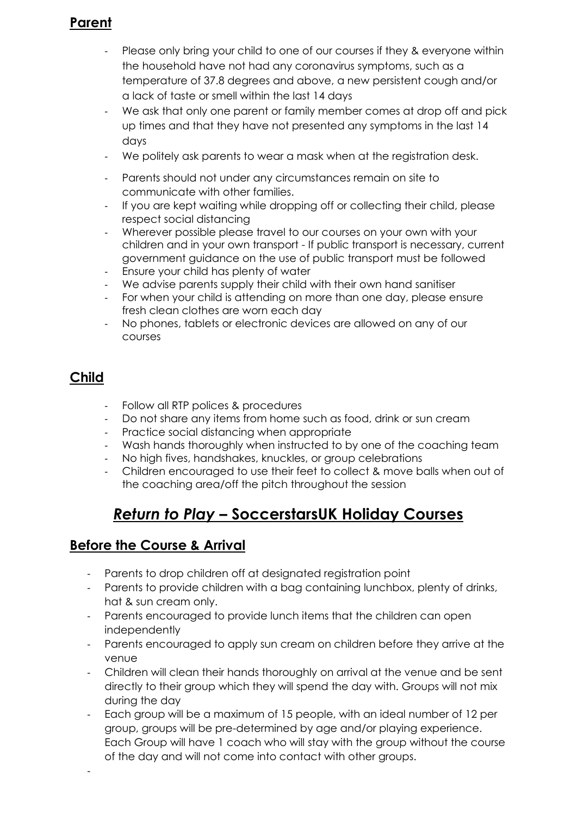## **Parent**

- Please only bring your child to one of our courses if they & everyone within the household have not had any coronavirus symptoms, such as a temperature of 37.8 degrees and above, a new persistent cough and/or a lack of taste or smell within the last 14 days
- We ask that only one parent or family member comes at drop off and pick up times and that they have not presented any symptoms in the last 14 days
- We politely ask parents to wear a mask when at the registration desk.
- Parents should not under any circumstances remain on site to communicate with other families.
- If you are kept waiting while dropping off or collecting their child, please respect social distancing
- Wherever possible please travel to our courses on your own with your children and in your own transport - If public transport is necessary, current government guidance on the use of public transport must be followed
- Ensure your child has plenty of water
- We advise parents supply their child with their own hand sanitiser
- For when your child is attending on more than one day, please ensure fresh clean clothes are worn each day
- No phones, tablets or electronic devices are allowed on any of our courses

## **Child**

-

- Follow all RTP polices & procedures
- Do not share any items from home such as food, drink or sun cream
- Practice social distancing when appropriate
- Wash hands thoroughly when instructed to by one of the coaching team
- No high fives, handshakes, knuckles, or group celebrations
- Children encouraged to use their feet to collect & move balls when out of the coaching area/off the pitch throughout the session

## *Return to Play* **– SoccerstarsUK Holiday Courses**

## **Before the Course & Arrival**

- Parents to drop children off at designated registration point
- Parents to provide children with a bag containing lunchbox, plenty of drinks, hat & sun cream only.
- Parents encouraged to provide lunch items that the children can open independently
- Parents encouraged to apply sun cream on children before they arrive at the venue
- Children will clean their hands thoroughly on arrival at the venue and be sent directly to their group which they will spend the day with. Groups will not mix during the day
- Each group will be a maximum of 15 people, with an ideal number of 12 per group, groups will be pre-determined by age and/or playing experience. Each Group will have 1 coach who will stay with the group without the course of the day and will not come into contact with other groups.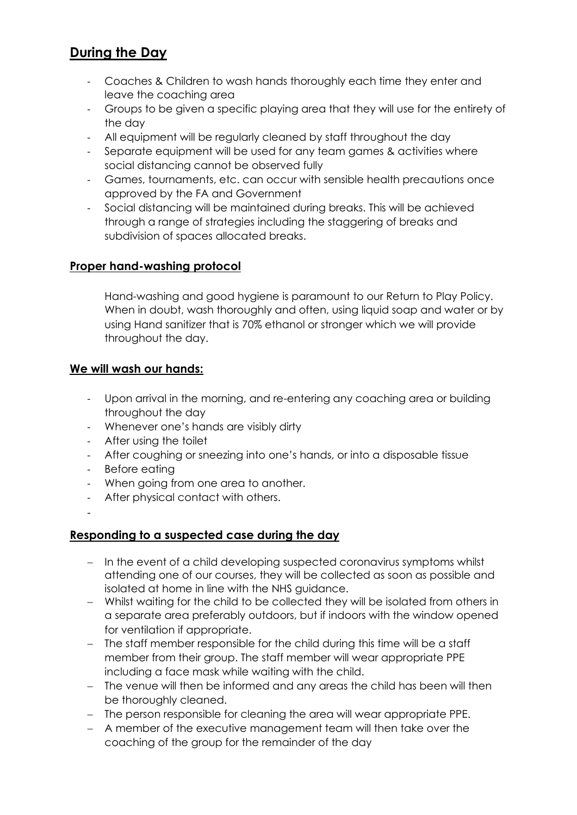## **During the Day**

- Coaches & Children to wash hands thoroughly each time they enter and leave the coaching area
- Groups to be given a specific playing area that they will use for the entirety of the day
- All equipment will be regularly cleaned by staff throughout the day
- Separate equipment will be used for any team games & activities where social distancing cannot be observed fully
- Games, tournaments, etc. can occur with sensible health precautions once approved by the FA and Government
- Social distancing will be maintained during breaks. This will be achieved through a range of strategies including the staggering of breaks and subdivision of spaces allocated breaks.

## **Proper hand-washing protocol**

Hand-washing and good hygiene is paramount to our Return to Play Policy. When in doubt, wash thoroughly and often, using liquid soap and water or by using Hand sanitizer that is 70% ethanol or stronger which we will provide throughout the day.

### **We will wash our hands:**

- Upon arrival in the morning, and re-entering any coaching area or building throughout the day
- Whenever one's hands are visibly dirty
- After using the toilet
- After coughing or sneezing into one's hands, or into a disposable tissue
- Before eating
- When going from one area to another.
- After physical contact with others.

-

### **Responding to a suspected case during the day**

- − In the event of a child developing suspected coronavirus symptoms whilst attending one of our courses, they will be collected as soon as possible and isolated at home in line with the NHS guidance.
- − Whilst waiting for the child to be collected they will be isolated from others in a separate area preferably outdoors, but if indoors with the window opened for ventilation if appropriate.
- − The staff member responsible for the child during this time will be a staff member from their group. The staff member will wear appropriate PPE including a face mask while waiting with the child.
- − The venue will then be informed and any areas the child has been will then be thoroughly cleaned.
- − The person responsible for cleaning the area will wear appropriate PPE.
- − A member of the executive management team will then take over the coaching of the group for the remainder of the day